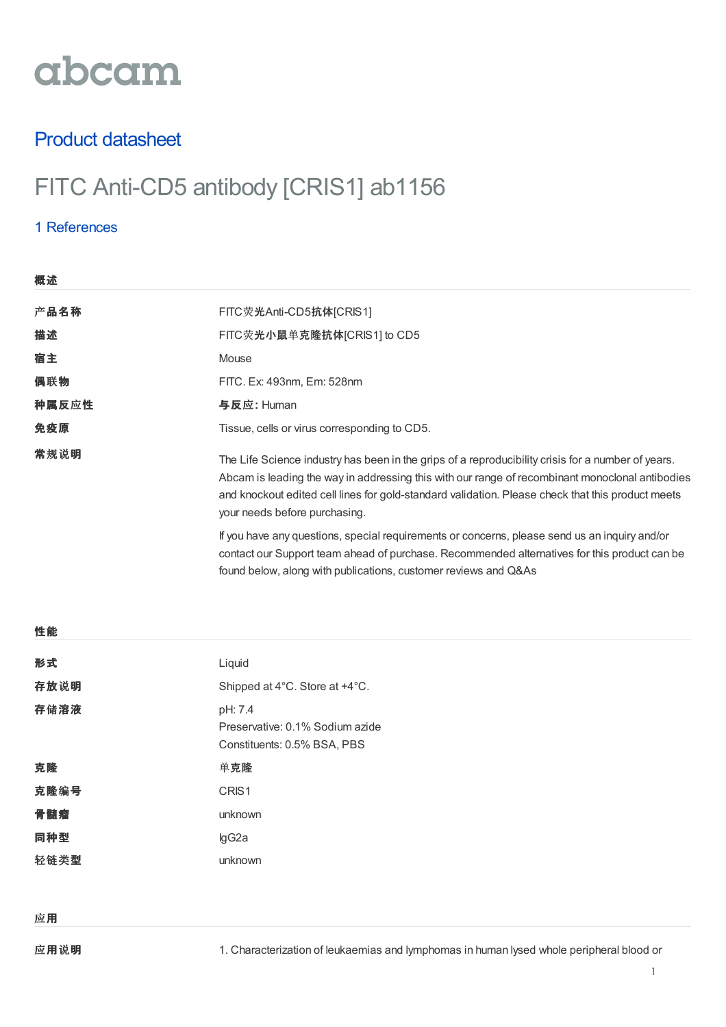# abcam

## Product datasheet

# FITC Anti-CD5 antibody [CRIS1] ab1156

### 1 [References](https://www.abcam.cn/fitc-cd5-antibody-cris1-ab1156.html#description_references)

概述

| 恢処    |                                                                                                                                                                                                                                                                                                                                             |
|-------|---------------------------------------------------------------------------------------------------------------------------------------------------------------------------------------------------------------------------------------------------------------------------------------------------------------------------------------------|
| 产品名称  | FITC荧光Anti-CD5抗体[CRIS1]                                                                                                                                                                                                                                                                                                                     |
| 描述    | FITC荧光小鼠单克隆抗体[CRIS1] to CD5                                                                                                                                                                                                                                                                                                                 |
| 宿主    | Mouse                                                                                                                                                                                                                                                                                                                                       |
| 偶联物   | FITC. Ex: 493nm, Em: 528nm                                                                                                                                                                                                                                                                                                                  |
| 种属反应性 | 与反应: Human                                                                                                                                                                                                                                                                                                                                  |
| 免疫原   | Tissue, cells or virus corresponding to CD5.                                                                                                                                                                                                                                                                                                |
| 常规说明  | The Life Science industry has been in the grips of a reproducibility crisis for a number of years.<br>Abcam is leading the way in addressing this with our range of recombinant monoclonal antibodies<br>and knockout edited cell lines for gold-standard validation. Please check that this product meets<br>your needs before purchasing. |
|       | If you have any questions, special requirements or concerns, please send us an inquiry and/or<br>contact our Support team ahead of purchase. Recommended alternatives for this product can be<br>found below, along with publications, customer reviews and Q&As                                                                            |

| 性能   |                                                                           |
|------|---------------------------------------------------------------------------|
| 形式   | Liquid                                                                    |
| 存放说明 | Shipped at 4°C. Store at +4°C.                                            |
| 存储溶液 | pH: 7.4<br>Preservative: 0.1% Sodium azide<br>Constituents: 0.5% BSA, PBS |
| 克隆   | 单克隆                                                                       |
| 克隆编号 | CRIS1                                                                     |
| 骨髓瘤  | unknown                                                                   |
| 同种型  | lgG2a                                                                     |
| 轻链类型 | unknown                                                                   |
|      |                                                                           |
|      |                                                                           |

应用